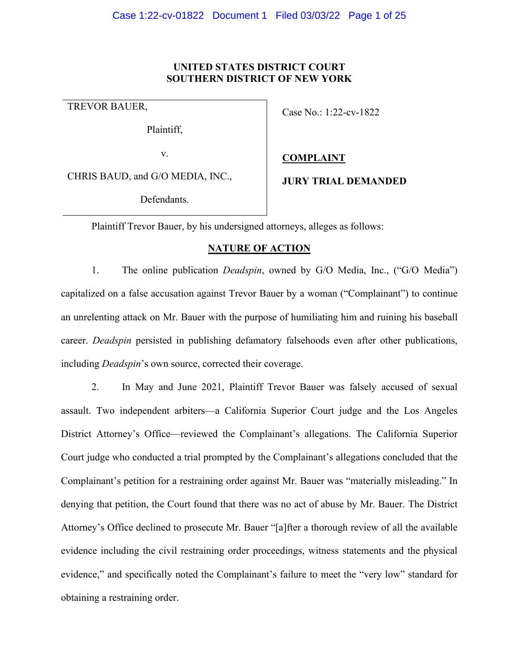## **UNITED STATES DISTRICT COURT SOUTHERN DISTRICT OF NEW YORK**

Plaintiff,

v.

CHRIS BAUD, and G/O MEDIA, INC.,

Defendants.

# TREVOR BAUER,<br>
Case No.: 1:22-cv-1822

## **COMPLAINT**

**JURY TRIAL DEMANDED** 

Plaintiff Trevor Bauer, by his undersigned attorneys, alleges as follows:

## **NATURE OF ACTION**

1. The online publication *Deadspin*, owned by G/O Media, Inc., ("G/O Media") capitalized on a false accusation against Trevor Bauer by a woman ("Complainant") to continue an unrelenting attack on Mr. Bauer with the purpose of humiliating him and ruining his baseball career. *Deadspin* persisted in publishing defamatory falsehoods even after other publications, including *Deadspin*'s own source, corrected their coverage.

2. In May and June 2021, Plaintiff Trevor Bauer was falsely accused of sexual assault. Two independent arbiters—a California Superior Court judge and the Los Angeles District Attorney's Office—reviewed the Complainant's allegations. The California Superior Court judge who conducted a trial prompted by the Complainant's allegations concluded that the Complainant's petition for a restraining order against Mr. Bauer was "materially misleading." In denying that petition, the Court found that there was no act of abuse by Mr. Bauer. The District Attorney's Office declined to prosecute Mr. Bauer "[a]fter a thorough review of all the available evidence including the civil restraining order proceedings, witness statements and the physical evidence," and specifically noted the Complainant's failure to meet the "very low" standard for obtaining a restraining order.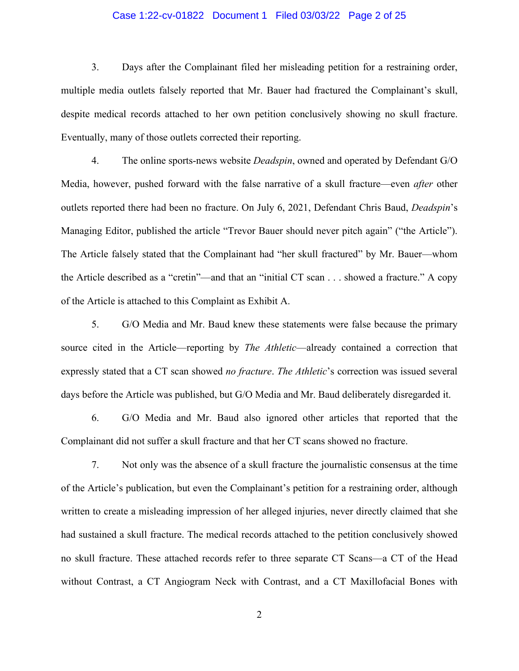### Case 1:22-cv-01822 Document 1 Filed 03/03/22 Page 2 of 25

3. Days after the Complainant filed her misleading petition for a restraining order, multiple media outlets falsely reported that Mr. Bauer had fractured the Complainant's skull, despite medical records attached to her own petition conclusively showing no skull fracture. Eventually, many of those outlets corrected their reporting.

4. The online sports-news website *Deadspin*, owned and operated by Defendant G/O Media, however, pushed forward with the false narrative of a skull fracture—even *after* other outlets reported there had been no fracture. On July 6, 2021, Defendant Chris Baud, *Deadspin*'s Managing Editor, published the article "Trevor Bauer should never pitch again" ("the Article"). The Article falsely stated that the Complainant had "her skull fractured" by Mr. Bauer—whom the Article described as a "cretin"—and that an "initial CT scan . . . showed a fracture." A copy of the Article is attached to this Complaint as Exhibit A.

5. G/O Media and Mr. Baud knew these statements were false because the primary source cited in the Article—reporting by *The Athletic*—already contained a correction that expressly stated that a CT scan showed *no fracture*. *The Athletic*'s correction was issued several days before the Article was published, but G/O Media and Mr. Baud deliberately disregarded it.

6. G/O Media and Mr. Baud also ignored other articles that reported that the Complainant did not suffer a skull fracture and that her CT scans showed no fracture.

7. Not only was the absence of a skull fracture the journalistic consensus at the time of the Article's publication, but even the Complainant's petition for a restraining order, although written to create a misleading impression of her alleged injuries, never directly claimed that she had sustained a skull fracture. The medical records attached to the petition conclusively showed no skull fracture. These attached records refer to three separate CT Scans—a CT of the Head without Contrast, a CT Angiogram Neck with Contrast, and a CT Maxillofacial Bones with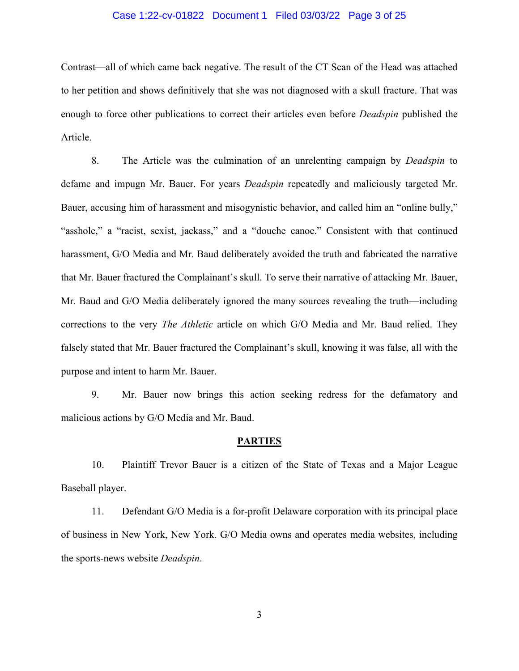### Case 1:22-cv-01822 Document 1 Filed 03/03/22 Page 3 of 25

Contrast—all of which came back negative. The result of the CT Scan of the Head was attached to her petition and shows definitively that she was not diagnosed with a skull fracture. That was enough to force other publications to correct their articles even before *Deadspin* published the Article.

8. The Article was the culmination of an unrelenting campaign by *Deadspin* to defame and impugn Mr. Bauer. For years *Deadspin* repeatedly and maliciously targeted Mr. Bauer, accusing him of harassment and misogynistic behavior, and called him an "online bully," "asshole," a "racist, sexist, jackass," and a "douche canoe." Consistent with that continued harassment, G/O Media and Mr. Baud deliberately avoided the truth and fabricated the narrative that Mr. Bauer fractured the Complainant's skull. To serve their narrative of attacking Mr. Bauer, Mr. Baud and G/O Media deliberately ignored the many sources revealing the truth—including corrections to the very *The Athletic* article on which G/O Media and Mr. Baud relied. They falsely stated that Mr. Bauer fractured the Complainant's skull, knowing it was false, all with the purpose and intent to harm Mr. Bauer.

9. Mr. Bauer now brings this action seeking redress for the defamatory and malicious actions by G/O Media and Mr. Baud.

#### **PARTIES**

10. Plaintiff Trevor Bauer is a citizen of the State of Texas and a Major League Baseball player.

11. Defendant G/O Media is a for-profit Delaware corporation with its principal place of business in New York, New York. G/O Media owns and operates media websites, including the sports-news website *Deadspin*.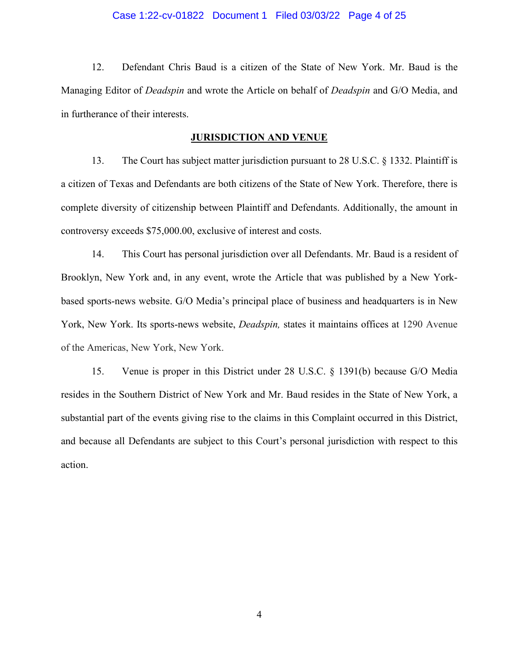#### Case 1:22-cv-01822 Document 1 Filed 03/03/22 Page 4 of 25

12. Defendant Chris Baud is a citizen of the State of New York. Mr. Baud is the Managing Editor of *Deadspin* and wrote the Article on behalf of *Deadspin* and G/O Media, and in furtherance of their interests.

#### **JURISDICTION AND VENUE**

13. The Court has subject matter jurisdiction pursuant to 28 U.S.C. § 1332. Plaintiff is a citizen of Texas and Defendants are both citizens of the State of New York. Therefore, there is complete diversity of citizenship between Plaintiff and Defendants. Additionally, the amount in controversy exceeds \$75,000.00, exclusive of interest and costs.

14. This Court has personal jurisdiction over all Defendants. Mr. Baud is a resident of Brooklyn, New York and, in any event, wrote the Article that was published by a New Yorkbased sports-news website. G/O Media's principal place of business and headquarters is in New York, New York. Its sports-news website, *Deadspin,* states it maintains offices at 1290 Avenue of the Americas, New York, New York.

15. Venue is proper in this District under 28 U.S.C. § 1391(b) because G/O Media resides in the Southern District of New York and Mr. Baud resides in the State of New York, a substantial part of the events giving rise to the claims in this Complaint occurred in this District, and because all Defendants are subject to this Court's personal jurisdiction with respect to this action.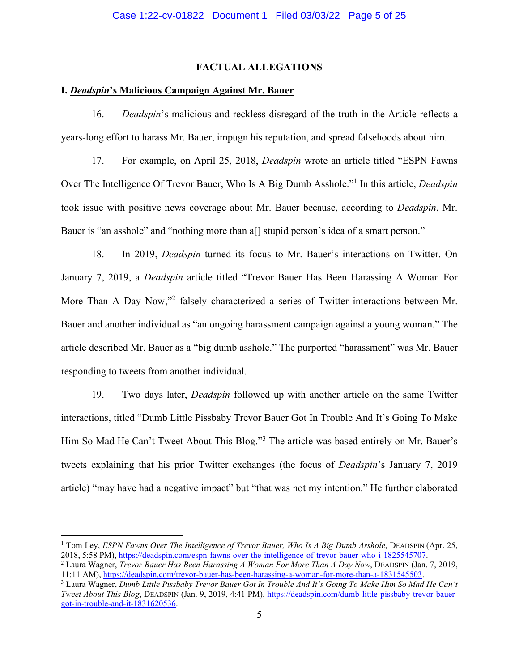## **FACTUAL ALLEGATIONS**

# **I.** *Deadspin***'s Malicious Campaign Against Mr. Bauer**

16. *Deadspin*'s malicious and reckless disregard of the truth in the Article reflects a years-long effort to harass Mr. Bauer, impugn his reputation, and spread falsehoods about him.

17. For example, on April 25, 2018, *Deadspin* wrote an article titled "ESPN Fawns Over The Intelligence Of Trevor Bauer, Who Is A Big Dumb Asshole."<sup>1</sup> In this article, *Deadspin*  took issue with positive news coverage about Mr. Bauer because, according to *Deadspin*, Mr. Bauer is "an asshole" and "nothing more than a<sup>[]</sup> stupid person's idea of a smart person."

18. In 2019, *Deadspin* turned its focus to Mr. Bauer's interactions on Twitter. On January 7, 2019, a *Deadspin* article titled "Trevor Bauer Has Been Harassing A Woman For More Than A Day Now,"<sup>2</sup> falsely characterized a series of Twitter interactions between Mr. Bauer and another individual as "an ongoing harassment campaign against a young woman." The article described Mr. Bauer as a "big dumb asshole." The purported "harassment" was Mr. Bauer responding to tweets from another individual.

19. Two days later, *Deadspin* followed up with another article on the same Twitter interactions, titled "Dumb Little Pissbaby Trevor Bauer Got In Trouble And It's Going To Make Him So Mad He Can't Tweet About This Blog."<sup>3</sup> The article was based entirely on Mr. Bauer's tweets explaining that his prior Twitter exchanges (the focus of *Deadspin*'s January 7, 2019 article) "may have had a negative impact" but "that was not my intention." He further elaborated

<sup>&</sup>lt;sup>1</sup> Tom Ley, *ESPN Fawns Over The Intelligence of Trevor Bauer, Who Is A Big Dumb Asshole*, DEADSPIN (Apr. 25, 2018, 5:58 PM), [https://deadspin.com/espn-fawns-over-the-intelligence-of-trevor-bauer-who-i-1825545707.](https://deadspin.com/espn-fawns-over-the-intelligence-of-trevor-bauer-who-i-1825545707)

<sup>2</sup> Laura Wagner, *Trevor Bauer Has Been Harassing A Woman For More Than A Day Now*, DEADSPIN (Jan. 7, 2019, 11:11 AM)[, https://deadspin.com/trevor-bauer-has-been-harassing-a-woman-for-more-than-a-1831545503.](https://deadspin.com/trevor-bauer-has-been-harassing-a-woman-for-more-than-a-1831545503)

<sup>3</sup> Laura Wagner, *Dumb Little Pissbaby Trevor Bauer Got In Trouble And It's Going To Make Him So Mad He Can't Tweet About This Blog*, DEADSPIN (Jan. 9, 2019, 4:41 PM), [https://deadspin.com/dumb-little-pissbaby-trevor-bauer](https://deadspin.com/dumb-little-pissbaby-trevor-bauer-got-in-trouble-and-it-1831620536)[got-in-trouble-and-it-1831620536.](https://deadspin.com/dumb-little-pissbaby-trevor-bauer-got-in-trouble-and-it-1831620536)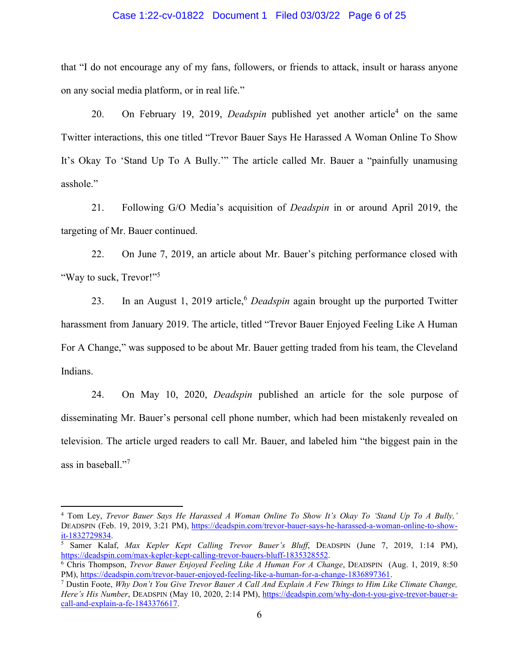#### Case 1:22-cv-01822 Document 1 Filed 03/03/22 Page 6 of 25

that "I do not encourage any of my fans, followers, or friends to attack, insult or harass anyone on any social media platform, or in real life."

20. On February 19, 2019, *Deadspin* published yet another article<sup>4</sup> on the same Twitter interactions, this one titled "Trevor Bauer Says He Harassed A Woman Online To Show It's Okay To 'Stand Up To A Bully.'" The article called Mr. Bauer a "painfully unamusing asshole."

21. Following G/O Media's acquisition of *Deadspin* in or around April 2019, the targeting of Mr. Bauer continued.

22. On June 7, 2019, an article about Mr. Bauer's pitching performance closed with "Way to suck, Trevor!"<sup>5</sup>

23. In an August 1, 2019 article,<sup>6</sup> *Deadspin* again brought up the purported Twitter harassment from January 2019. The article, titled "Trevor Bauer Enjoyed Feeling Like A Human For A Change," was supposed to be about Mr. Bauer getting traded from his team, the Cleveland Indians.

24. On May 10, 2020, *Deadspin* published an article for the sole purpose of disseminating Mr. Bauer's personal cell phone number, which had been mistakenly revealed on television. The article urged readers to call Mr. Bauer, and labeled him "the biggest pain in the ass in baseball."<sup>7</sup>

<sup>4</sup> Tom Ley, *Trevor Bauer Says He Harassed A Woman Online To Show It's Okay To 'Stand Up To A Bully,'* DEADSPIN (Feb. 19, 2019, 3:21 PM), [https://deadspin.com/trevor-bauer-says-he-harassed-a-woman-online-to-show](https://deadspin.com/trevor-bauer-says-he-harassed-a-woman-online-to-show-it-1832729834)[it-1832729834.](https://deadspin.com/trevor-bauer-says-he-harassed-a-woman-online-to-show-it-1832729834)

<sup>5</sup> Samer Kalaf, *Max Kepler Kept Calling Trevor Bauer's Bluff*, DEADSPIN (June 7, 2019, 1:14 PM), [https://deadspin.com/max-kepler-kept-calling-trevor-bauers-bluff-1835328552.](https://deadspin.com/max-kepler-kept-calling-trevor-bauers-bluff-1835328552)

<sup>6</sup> Chris Thompson, *Trevor Bauer Enjoyed Feeling Like A Human For A Change*, DEADSPIN (Aug. 1, 2019, 8:50 PM), [https://deadspin.com/trevor-bauer-enjoyed-feeling-like-a-human-for-a-change-1836897361.](https://deadspin.com/trevor-bauer-enjoyed-feeling-like-a-human-for-a-change-1836897361) 

<sup>7</sup> Dustin Foote, *Why Don't You Give Trevor Bauer A Call And Explain A Few Things to Him Like Climate Change, Here's His Number*, DEADSPIN (May 10, 2020, 2:14 PM), [https://deadspin.com/why-don-t-you-give-trevor-bauer-a](https://deadspin.com/why-don-t-you-give-trevor-bauer-a-call-and-explain-a-fe-1843376617)[call-and-explain-a-fe-1843376617.](https://deadspin.com/why-don-t-you-give-trevor-bauer-a-call-and-explain-a-fe-1843376617)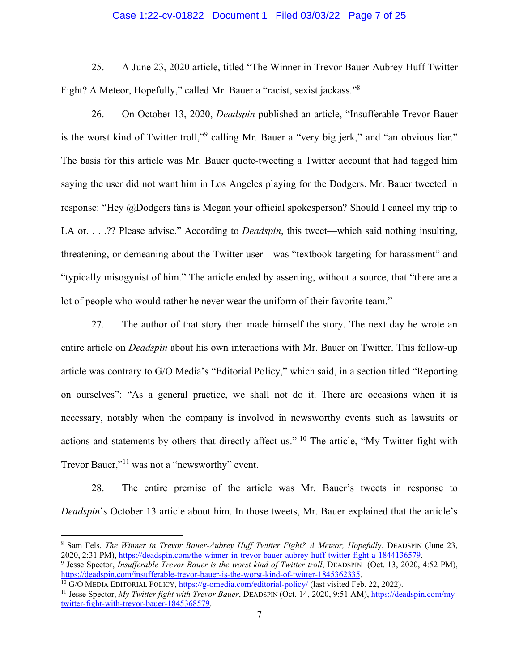#### Case 1:22-cv-01822 Document 1 Filed 03/03/22 Page 7 of 25

25. A June 23, 2020 article, titled "The Winner in Trevor Bauer-Aubrey Huff Twitter Fight? A Meteor, Hopefully," called Mr. Bauer a "racist, sexist jackass."<sup>8</sup>

26. On October 13, 2020, *Deadspin* published an article, "Insufferable Trevor Bauer is the worst kind of Twitter troll,"<sup>9</sup> calling Mr. Bauer a "very big jerk," and "an obvious liar." The basis for this article was Mr. Bauer quote-tweeting a Twitter account that had tagged him saying the user did not want him in Los Angeles playing for the Dodgers. Mr. Bauer tweeted in response: "Hey @Dodgers fans is Megan your official spokesperson? Should I cancel my trip to LA or. . . .?? Please advise." According to *Deadspin*, this tweet—which said nothing insulting, threatening, or demeaning about the Twitter user—was "textbook targeting for harassment" and "typically misogynist of him." The article ended by asserting, without a source, that "there are a lot of people who would rather he never wear the uniform of their favorite team."

27. The author of that story then made himself the story. The next day he wrote an entire article on *Deadspin* about his own interactions with Mr. Bauer on Twitter. This follow-up article was contrary to G/O Media's "Editorial Policy," which said, in a section titled "Reporting on ourselves": "As a general practice, we shall not do it. There are occasions when it is necessary, notably when the company is involved in newsworthy events such as lawsuits or actions and statements by others that directly affect us." <sup>10</sup> The article, "My Twitter fight with Trevor Bauer,"<sup>11</sup> was not a "newsworthy" event.

28. The entire premise of the article was Mr. Bauer's tweets in response to *Deadspin*'s October 13 article about him. In those tweets, Mr. Bauer explained that the article's

<sup>8</sup> Sam Fels, *The Winner in Trevor Bauer-Aubrey Huff Twitter Fight? A Meteor, Hopefull*y, DEADSPIN (June 23, 2020, 2:31 PM), [https://deadspin.com/the-winner-in-trevor-bauer-aubrey-huff-twitter-fight-a-1844136579.](https://deadspin.com/the-winner-in-trevor-bauer-aubrey-huff-twitter-fight-a-1844136579) 

<sup>&</sup>lt;sup>9</sup> Jesse Spector, *Insufferable Trevor Bauer is the worst kind of Twitter troll*, DEADSPIN (Oct. 13, 2020, 4:52 PM), [https://deadspin.com/insufferable-trevor-bauer-is-the-worst-kind-of-twitter-1845362335.](https://deadspin.com/insufferable-trevor-bauer-is-the-worst-kind-of-twitter-1845362335)

<sup>&</sup>lt;sup>10</sup> G/O MEDIA EDITORIAL POLICY,<https://g-omedia.com/editorial-policy/>(last visited Feb. 22, 2022).

<sup>11</sup> Jesse Spector, *My Twitter fight with Trevor Bauer*, DEADSPIN (Oct. 14, 2020, 9:51 AM), [https://deadspin.com/my](https://deadspin.com/my-twitter-fight-with-trevor-bauer-1845368579)[twitter-fight-with-trevor-bauer-1845368579.](https://deadspin.com/my-twitter-fight-with-trevor-bauer-1845368579)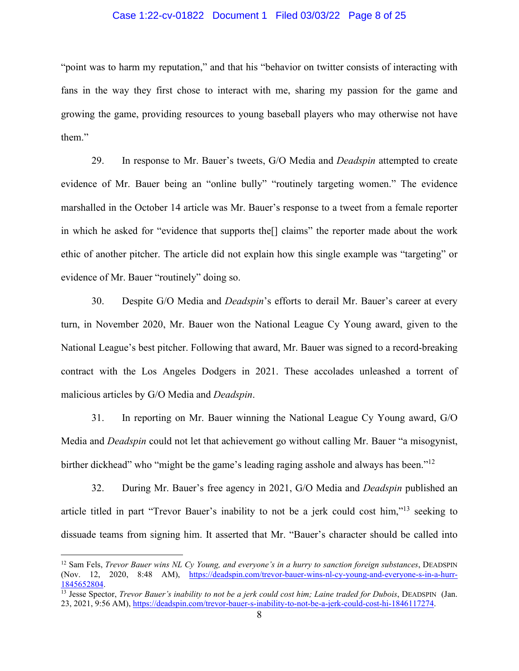#### Case 1:22-cv-01822 Document 1 Filed 03/03/22 Page 8 of 25

"point was to harm my reputation," and that his "behavior on twitter consists of interacting with fans in the way they first chose to interact with me, sharing my passion for the game and growing the game, providing resources to young baseball players who may otherwise not have them."

29. In response to Mr. Bauer's tweets, G/O Media and *Deadspin* attempted to create evidence of Mr. Bauer being an "online bully" "routinely targeting women." The evidence marshalled in the October 14 article was Mr. Bauer's response to a tweet from a female reporter in which he asked for "evidence that supports the[] claims" the reporter made about the work ethic of another pitcher. The article did not explain how this single example was "targeting" or evidence of Mr. Bauer "routinely" doing so.

30. Despite G/O Media and *Deadspin*'s efforts to derail Mr. Bauer's career at every turn, in November 2020, Mr. Bauer won the National League Cy Young award, given to the National League's best pitcher. Following that award, Mr. Bauer was signed to a record-breaking contract with the Los Angeles Dodgers in 2021. These accolades unleashed a torrent of malicious articles by G/O Media and *Deadspin*.

31. In reporting on Mr. Bauer winning the National League Cy Young award, G/O Media and *Deadspin* could not let that achievement go without calling Mr. Bauer "a misogynist, birther dickhead" who "might be the game's leading raging asshole and always has been."<sup>12</sup>

32. During Mr. Bauer's free agency in 2021, G/O Media and *Deadspin* published an article titled in part "Trevor Bauer's inability to not be a jerk could cost him,"<sup>13</sup> seeking to dissuade teams from signing him. It asserted that Mr. "Bauer's character should be called into

<sup>12</sup> Sam Fels, *Trevor Bauer wins NL Cy Young, and everyone's in a hurry to sanction foreign substances*, DEADSPIN (Nov. 12, 2020, 8:48 AM), [https://deadspin.com/trevor-bauer-wins-nl-cy-young-and-everyone-s-in-a-hurr-](https://deadspin.com/trevor-bauer-wins-nl-cy-young-and-everyone-s-in-a-hurr-1845652804)[1845652804.](https://deadspin.com/trevor-bauer-wins-nl-cy-young-and-everyone-s-in-a-hurr-1845652804)

<sup>&</sup>lt;sup>13</sup> Jesse Spector, *Trevor Bauer's inability to not be a jerk could cost him; Laine traded for Dubois*, DEADSPIN (Jan. 23, 2021, 9:56 AM)[, https://deadspin.com/trevor-bauer-s-inability-to-not-be-a-jerk-could-cost-hi-1846117274.](https://deadspin.com/trevor-bauer-s-inability-to-not-be-a-jerk-could-cost-hi-1846117274)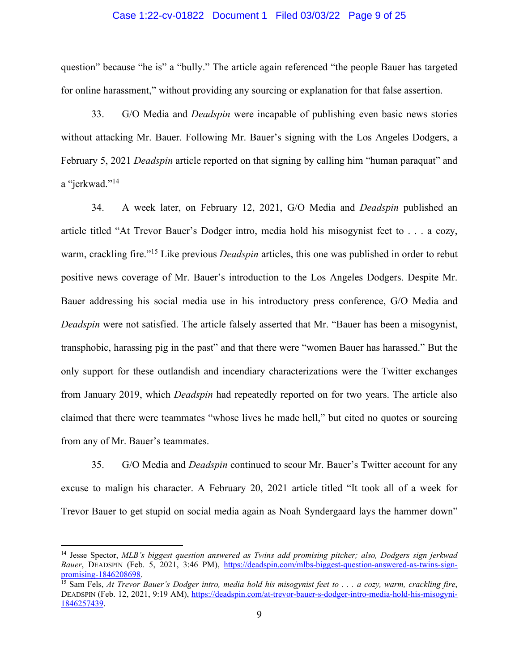#### Case 1:22-cv-01822 Document 1 Filed 03/03/22 Page 9 of 25

question" because "he is" a "bully." The article again referenced "the people Bauer has targeted for online harassment," without providing any sourcing or explanation for that false assertion.

33. G/O Media and *Deadspin* were incapable of publishing even basic news stories without attacking Mr. Bauer. Following Mr. Bauer's signing with the Los Angeles Dodgers, a February 5, 2021 *Deadspin* article reported on that signing by calling him "human paraquat" and a "jerkwad."<sup>14</sup>

34. A week later, on February 12, 2021, G/O Media and *Deadspin* published an article titled "At Trevor Bauer's Dodger intro, media hold his misogynist feet to . . . a cozy, warm, crackling fire."<sup>15</sup> Like previous *Deadspin* articles, this one was published in order to rebut positive news coverage of Mr. Bauer's introduction to the Los Angeles Dodgers. Despite Mr. Bauer addressing his social media use in his introductory press conference, G/O Media and *Deadspin* were not satisfied. The article falsely asserted that Mr. "Bauer has been a misogynist, transphobic, harassing pig in the past" and that there were "women Bauer has harassed." But the only support for these outlandish and incendiary characterizations were the Twitter exchanges from January 2019, which *Deadspin* had repeatedly reported on for two years. The article also claimed that there were teammates "whose lives he made hell," but cited no quotes or sourcing from any of Mr. Bauer's teammates.

35. G/O Media and *Deadspin* continued to scour Mr. Bauer's Twitter account for any excuse to malign his character. A February 20, 2021 article titled "It took all of a week for Trevor Bauer to get stupid on social media again as Noah Syndergaard lays the hammer down"

<sup>14</sup> Jesse Spector, *MLB's biggest question answered as Twins add promising pitcher; also, Dodgers sign jerkwad Bauer*, DEADSPIN (Feb. 5, 2021, 3:46 PM), [https://deadspin.com/mlbs-biggest-question-answered-as-twins-sign](https://deadspin.com/mlbs-biggest-question-answered-as-twins-sign-promising-1846208698)[promising-1846208698.](https://deadspin.com/mlbs-biggest-question-answered-as-twins-sign-promising-1846208698)

<sup>15</sup> Sam Fels, *At Trevor Bauer's Dodger intro, media hold his misogynist feet to . . . a cozy, warm, crackling fire*, DEADSPIN (Feb. 12, 2021, 9:19 AM), [https://deadspin.com/at-trevor-bauer-s-dodger-intro-media-hold-his-misogyni-](https://deadspin.com/at-trevor-bauer-s-dodger-intro-media-hold-his-misogyni-1846257439)[1846257439.](https://deadspin.com/at-trevor-bauer-s-dodger-intro-media-hold-his-misogyni-1846257439)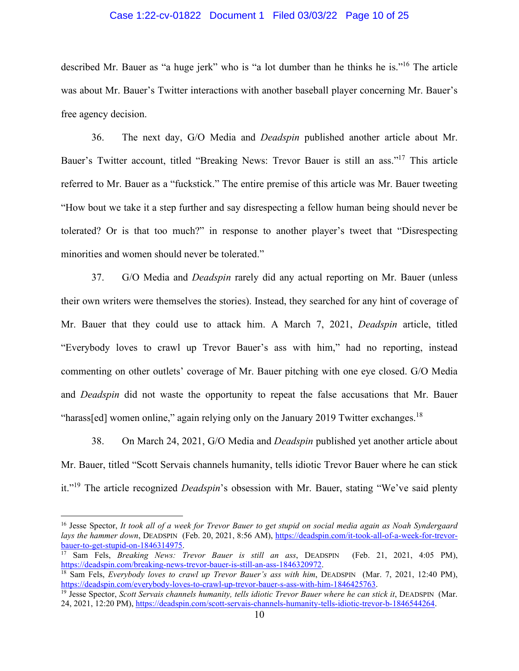### Case 1:22-cv-01822 Document 1 Filed 03/03/22 Page 10 of 25

described Mr. Bauer as "a huge jerk" who is "a lot dumber than he thinks he is."<sup>16</sup> The article was about Mr. Bauer's Twitter interactions with another baseball player concerning Mr. Bauer's free agency decision.

36. The next day, G/O Media and *Deadspin* published another article about Mr. Bauer's Twitter account, titled "Breaking News: Trevor Bauer is still an ass."<sup>17</sup> This article referred to Mr. Bauer as a "fuckstick." The entire premise of this article was Mr. Bauer tweeting "How bout we take it a step further and say disrespecting a fellow human being should never be tolerated? Or is that too much?" in response to another player's tweet that "Disrespecting minorities and women should never be tolerated."

37. G/O Media and *Deadspin* rarely did any actual reporting on Mr. Bauer (unless their own writers were themselves the stories). Instead, they searched for any hint of coverage of Mr. Bauer that they could use to attack him. A March 7, 2021, *Deadspin* article, titled "Everybody loves to crawl up Trevor Bauer's ass with him," had no reporting, instead commenting on other outlets' coverage of Mr. Bauer pitching with one eye closed. G/O Media and *Deadspin* did not waste the opportunity to repeat the false accusations that Mr. Bauer "harass[ed] women online," again relying only on the January 2019 Twitter exchanges.<sup>18</sup>

38. On March 24, 2021, G/O Media and *Deadspin* published yet another article about Mr. Bauer, titled "Scott Servais channels humanity, tells idiotic Trevor Bauer where he can stick it."<sup>19</sup> The article recognized *Deadspin*'s obsession with Mr. Bauer, stating "We've said plenty

<sup>17</sup> Sam Fels, *Breaking News: Trevor Bauer is still an ass*, DEADSPIN (Feb. 21, 2021, 4:05 PM), [https://deadspin.com/breaking-news-trevor-bauer-is-still-an-ass-1846320972.](https://deadspin.com/breaking-news-trevor-bauer-is-still-an-ass-1846320972) 

<sup>16</sup> Jesse Spector, *It took all of a week for Trevor Bauer to get stupid on social media again as Noah Syndergaard lays the hammer down*, DEADSPIN (Feb. 20, 2021, 8:56 AM), [https://deadspin.com/it-took-all-of-a-week-for-trevor](https://deadspin.com/it-took-all-of-a-week-for-trevor-bauer-to-get-stupid-on-1846314975)[bauer-to-get-stupid-on-1846314975.](https://deadspin.com/it-took-all-of-a-week-for-trevor-bauer-to-get-stupid-on-1846314975) 

<sup>18</sup> Sam Fels, *Everybody loves to crawl up Trevor Bauer's ass with him*, DEADSPIN (Mar. 7, 2021, 12:40 PM), [https://deadspin.com/everybody-loves-to-crawl-up-trevor-bauer-s-ass-with-him-1846425763.](https://deadspin.com/everybody-loves-to-crawl-up-trevor-bauer-s-ass-with-him-1846425763) 

<sup>19</sup> Jesse Spector, *Scott Servais channels humanity, tells idiotic Trevor Bauer where he can stick it*, DEADSPIN (Mar. 24, 2021, 12:20 PM), [https://deadspin.com/scott-servais-channels-humanity-tells-idiotic-trevor-b-1846544264.](https://deadspin.com/scott-servais-channels-humanity-tells-idiotic-trevor-b-1846544264)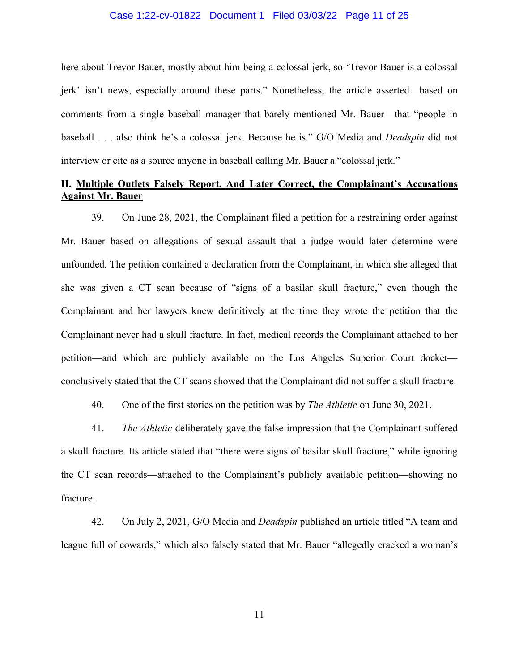#### Case 1:22-cv-01822 Document 1 Filed 03/03/22 Page 11 of 25

here about Trevor Bauer, mostly about him being a colossal jerk, so 'Trevor Bauer is a colossal jerk' isn't news, especially around these parts." Nonetheless, the article asserted—based on comments from a single baseball manager that barely mentioned Mr. Bauer—that "people in baseball . . . also think he's a colossal jerk. Because he is." G/O Media and *Deadspin* did not interview or cite as a source anyone in baseball calling Mr. Bauer a "colossal jerk."

# **II. Multiple Outlets Falsely Report, And Later Correct, the Complainant's Accusations Against Mr. Bauer**

39. On June 28, 2021, the Complainant filed a petition for a restraining order against Mr. Bauer based on allegations of sexual assault that a judge would later determine were unfounded. The petition contained a declaration from the Complainant, in which she alleged that she was given a CT scan because of "signs of a basilar skull fracture," even though the Complainant and her lawyers knew definitively at the time they wrote the petition that the Complainant never had a skull fracture. In fact, medical records the Complainant attached to her petition—and which are publicly available on the Los Angeles Superior Court docket conclusively stated that the CT scans showed that the Complainant did not suffer a skull fracture.

40. One of the first stories on the petition was by *The Athletic* on June 30, 2021.

41. *The Athletic* deliberately gave the false impression that the Complainant suffered a skull fracture. Its article stated that "there were signs of basilar skull fracture," while ignoring the CT scan records—attached to the Complainant's publicly available petition—showing no fracture.

42. On July 2, 2021, G/O Media and *Deadspin* published an article titled "A team and league full of cowards," which also falsely stated that Mr. Bauer "allegedly cracked a woman's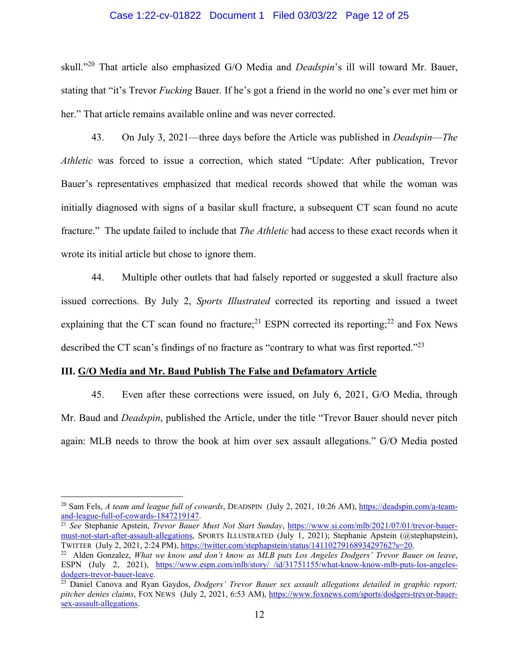#### Case 1:22-cv-01822 Document 1 Filed 03/03/22 Page 12 of 25

skull."<sup>20</sup> That article also emphasized G/O Media and *Deadspin*'s ill will toward Mr. Bauer, stating that "it's Trevor *Fucking* Bauer. If he's got a friend in the world no one's ever met him or her." That article remains available online and was never corrected.

43. On July 3, 2021—three days before the Article was published in *Deadspin*—*The Athletic* was forced to issue a correction, which stated "Update: After publication, Trevor Bauer's representatives emphasized that medical records showed that while the woman was initially diagnosed with signs of a basilar skull fracture, a subsequent CT scan found no acute fracture." The update failed to include that *The Athletic* had access to these exact records when it wrote its initial article but chose to ignore them.

44. Multiple other outlets that had falsely reported or suggested a skull fracture also issued corrections. By July 2, *Sports Illustrated* corrected its reporting and issued a tweet explaining that the CT scan found no fracture;<sup>21</sup> ESPN corrected its reporting;<sup>22</sup> and Fox News described the CT scan's findings of no fracture as "contrary to what was first reported."<sup>23</sup>

#### **III. G/O Media and Mr. Baud Publish The False and Defamatory Article**

45. Even after these corrections were issued, on July 6, 2021, G/O Media, through Mr. Baud and *Deadspin*, published the Article, under the title "Trevor Bauer should never pitch again: MLB needs to throw the book at him over sex assault allegations." G/O Media posted

<sup>20</sup> Sam Fels, *A team and league full of cowards*, DEADSPIN (July 2, 2021, 10:26 AM), [https://deadspin.com/a-team](https://deadspin.com/a-team-and-league-full-of-cowards-1847219147)[and-league-full-of-cowards-1847219147.](https://deadspin.com/a-team-and-league-full-of-cowards-1847219147)

<sup>21</sup> *See* Stephanie Apstein, *Trevor Bauer Must Not Start Sunday*, [https://www.si.com/mlb/2021/07/01/trevor-bauer](https://www.si.com/mlb/2021/07/01/trevor-bauer-must-not-start-after-assault-allegations)[must-not-start-after-assault-allegations,](https://www.si.com/mlb/2021/07/01/trevor-bauer-must-not-start-after-assault-allegations) SPORTS ILLUSTRATED (July 1, 2021); Stephanie Apstein (@stephapstein), TWITTER (July 2, 2021, 2:24 PM), [https://twitter.com/stephapstein/status/1411027916893429762?s=20.](https://twitter.com/stephapstein/status/1411027916893429762?s=20)

<sup>22</sup> Alden Gonzalez, *What we know and don't know as MLB puts Los Angeles Dodgers' Trevor Bauer on leave*, ESPN (July 2, 2021), [https://www.espn.com/mlb/story/\\_/id/31751155/what-know-know-mlb-puts-los-angeles](https://www.espn.com/mlb/story/_/id/31751155/what-know-know-mlb-puts-los-angeles-dodgers-trevor-bauer-leave)[dodgers-trevor-bauer-leave.](https://www.espn.com/mlb/story/_/id/31751155/what-know-know-mlb-puts-los-angeles-dodgers-trevor-bauer-leave)

<sup>&</sup>lt;sup>23</sup> Daniel Canova and Ryan Gaydos, *Dodgers' Trevor Bauer sex assault allegations detailed in graphic report; pitcher denies claims*, FOX NEWS (July 2, 2021, 6:53 AM), [https://www.foxnews.com/sports/dodgers-trevor-bauer](https://www.foxnews.com/sports/dodgers-trevor-bauer-sex-assault-allegations)[sex-assault-allegations.](https://www.foxnews.com/sports/dodgers-trevor-bauer-sex-assault-allegations)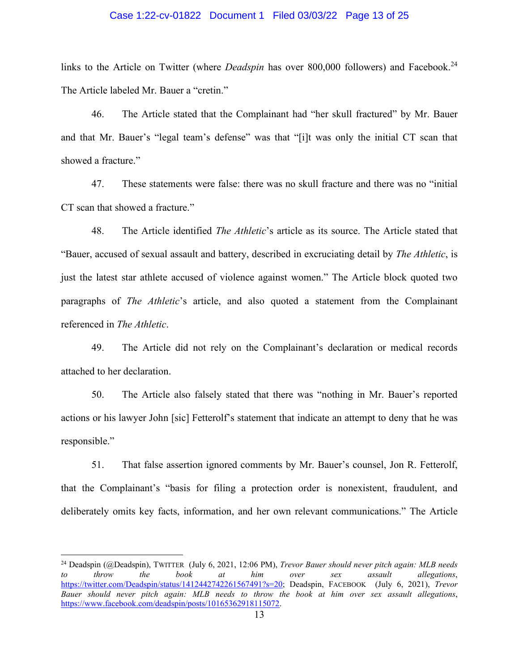#### Case 1:22-cv-01822 Document 1 Filed 03/03/22 Page 13 of 25

links to the Article on Twitter (where *Deadspin* has over 800,000 followers) and Facebook.<sup>24</sup> The Article labeled Mr. Bauer a "cretin."

46. The Article stated that the Complainant had "her skull fractured" by Mr. Bauer and that Mr. Bauer's "legal team's defense" was that "[i]t was only the initial CT scan that showed a fracture."

47. These statements were false: there was no skull fracture and there was no "initial CT scan that showed a fracture."

48. The Article identified *The Athletic*'s article as its source. The Article stated that "Bauer, accused of sexual assault and battery, described in excruciating detail by *The Athletic*, is just the latest star athlete accused of violence against women." The Article block quoted two paragraphs of *The Athletic*'s article, and also quoted a statement from the Complainant referenced in *The Athletic*.

49. The Article did not rely on the Complainant's declaration or medical records attached to her declaration.

50. The Article also falsely stated that there was "nothing in Mr. Bauer's reported actions or his lawyer John [sic] Fetterolf's statement that indicate an attempt to deny that he was responsible."

51. That false assertion ignored comments by Mr. Bauer's counsel, Jon R. Fetterolf, that the Complainant's "basis for filing a protection order is nonexistent, fraudulent, and deliberately omits key facts, information, and her own relevant communications." The Article

<sup>24</sup> Deadspin (@Deadspin), TWITTER (July 6, 2021, 12:06 PM), *Trevor Bauer should never pitch again: MLB needs to throw the book at him over sex assault allegations*, [https://twitter.com/Deadspin/status/1412442742261567491?s=20;](https://twitter.com/Deadspin/status/1412442742261567491?s=20) Deadspin, FACEBOOK (July 6, 2021), *Trevor Bauer should never pitch again: MLB needs to throw the book at him over sex assault allegations*, [https://www.facebook.com/deadspin/posts/10165362918115072.](https://www.facebook.com/deadspin/posts/10165362918115072)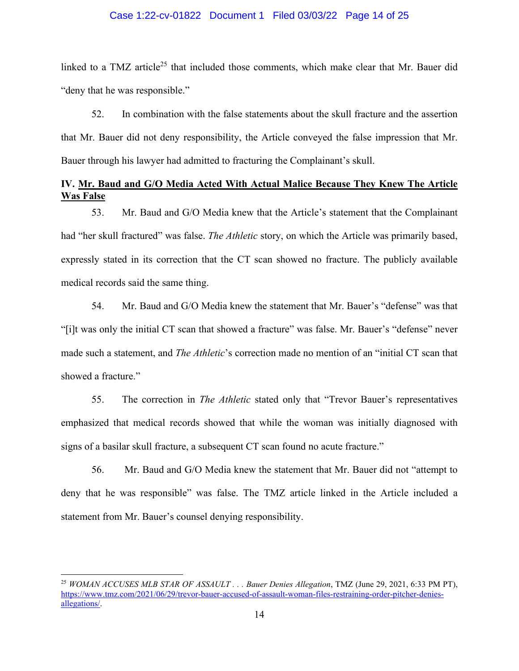#### Case 1:22-cv-01822 Document 1 Filed 03/03/22 Page 14 of 25

linked to a TMZ article<sup>25</sup> that included those comments, which make clear that Mr. Bauer did "deny that he was responsible."

52. In combination with the false statements about the skull fracture and the assertion that Mr. Bauer did not deny responsibility, the Article conveyed the false impression that Mr. Bauer through his lawyer had admitted to fracturing the Complainant's skull.

# **IV. Mr. Baud and G/O Media Acted With Actual Malice Because They Knew The Article Was False**

53. Mr. Baud and G/O Media knew that the Article's statement that the Complainant had "her skull fractured" was false. *The Athletic* story, on which the Article was primarily based, expressly stated in its correction that the CT scan showed no fracture. The publicly available medical records said the same thing.

54. Mr. Baud and G/O Media knew the statement that Mr. Bauer's "defense" was that "[i]t was only the initial CT scan that showed a fracture" was false. Mr. Bauer's "defense" never made such a statement, and *The Athletic*'s correction made no mention of an "initial CT scan that showed a fracture."

55. The correction in *The Athletic* stated only that "Trevor Bauer's representatives emphasized that medical records showed that while the woman was initially diagnosed with signs of a basilar skull fracture, a subsequent CT scan found no acute fracture."

56. Mr. Baud and G/O Media knew the statement that Mr. Bauer did not "attempt to deny that he was responsible" was false. The TMZ article linked in the Article included a statement from Mr. Bauer's counsel denying responsibility.

<sup>25</sup> *WOMAN ACCUSES MLB STAR OF ASSAULT . . . Bauer Denies Allegation*, TMZ (June 29, 2021, 6:33 PM PT), [https://www.tmz.com/2021/06/29/trevor-bauer-accused-of-assault-woman-files-restraining-order-pitcher-denies](https://www.tmz.com/2021/06/29/trevor-bauer-accused-of-assault-woman-files-restraining-order-pitcher-denies-allegations/)[allegations/.](https://www.tmz.com/2021/06/29/trevor-bauer-accused-of-assault-woman-files-restraining-order-pitcher-denies-allegations/)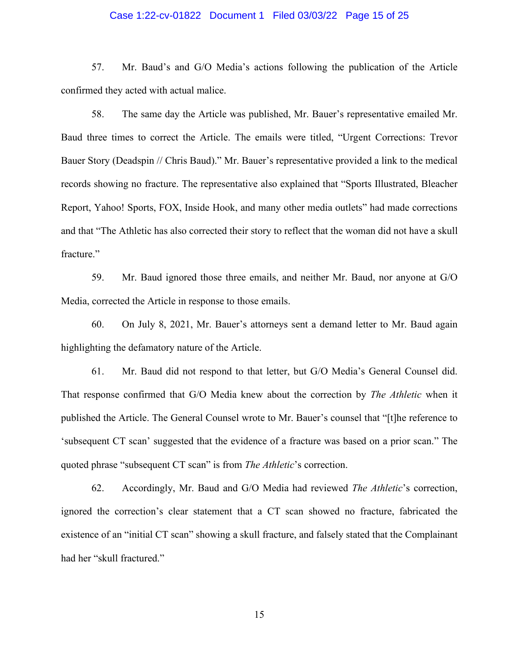### Case 1:22-cv-01822 Document 1 Filed 03/03/22 Page 15 of 25

57. Mr. Baud's and G/O Media's actions following the publication of the Article confirmed they acted with actual malice.

58. The same day the Article was published, Mr. Bauer's representative emailed Mr. Baud three times to correct the Article. The emails were titled, "Urgent Corrections: Trevor Bauer Story (Deadspin // Chris Baud)." Mr. Bauer's representative provided a link to the medical records showing no fracture. The representative also explained that "Sports Illustrated, Bleacher Report, Yahoo! Sports, FOX, Inside Hook, and many other media outlets" had made corrections and that "The Athletic has also corrected their story to reflect that the woman did not have a skull fracture."

59. Mr. Baud ignored those three emails, and neither Mr. Baud, nor anyone at G/O Media, corrected the Article in response to those emails.

60. On July 8, 2021, Mr. Bauer's attorneys sent a demand letter to Mr. Baud again highlighting the defamatory nature of the Article.

61. Mr. Baud did not respond to that letter, but G/O Media's General Counsel did. That response confirmed that G/O Media knew about the correction by *The Athletic* when it published the Article. The General Counsel wrote to Mr. Bauer's counsel that "[t]he reference to 'subsequent CT scan' suggested that the evidence of a fracture was based on a prior scan." The quoted phrase "subsequent CT scan" is from *The Athletic*'s correction.

62. Accordingly, Mr. Baud and G/O Media had reviewed *The Athletic*'s correction, ignored the correction's clear statement that a CT scan showed no fracture, fabricated the existence of an "initial CT scan" showing a skull fracture, and falsely stated that the Complainant had her "skull fractured."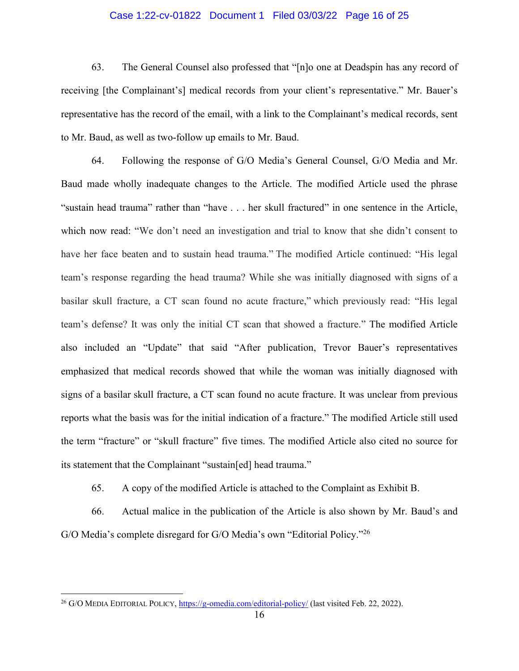### Case 1:22-cv-01822 Document 1 Filed 03/03/22 Page 16 of 25

63. The General Counsel also professed that "[n]o one at Deadspin has any record of receiving [the Complainant's] medical records from your client's representative." Mr. Bauer's representative has the record of the email, with a link to the Complainant's medical records, sent to Mr. Baud, as well as two-follow up emails to Mr. Baud.

64. Following the response of G/O Media's General Counsel, G/O Media and Mr. Baud made wholly inadequate changes to the Article. The modified Article used the phrase "sustain head trauma" rather than "have . . . her skull fractured" in one sentence in the Article, which now read: "We don't need an investigation and trial to know that she didn't consent to have her face beaten and to sustain head trauma." The modified Article continued: "His legal team's response regarding the head trauma? While she was initially diagnosed with signs of a basilar skull fracture, a CT scan found no acute fracture," which previously read: "His legal team's defense? It was only the initial CT scan that showed a fracture." The modified Article also included an "Update" that said "After publication, Trevor Bauer's representatives emphasized that medical records showed that while the woman was initially diagnosed with signs of a basilar skull fracture, a CT scan found no acute fracture. It was unclear from previous reports what the basis was for the initial indication of a fracture." The modified Article still used the term "fracture" or "skull fracture" five times. The modified Article also cited no source for its statement that the Complainant "sustain[ed] head trauma."

65. A copy of the modified Article is attached to the Complaint as Exhibit B.

66. Actual malice in the publication of the Article is also shown by Mr. Baud's and G/O Media's complete disregard for G/O Media's own "Editorial Policy."<sup>26</sup>

<sup>26</sup> G/O MEDIA EDITORIAL POLICY,<https://g-omedia.com/editorial-policy/>(last visited Feb. 22, 2022).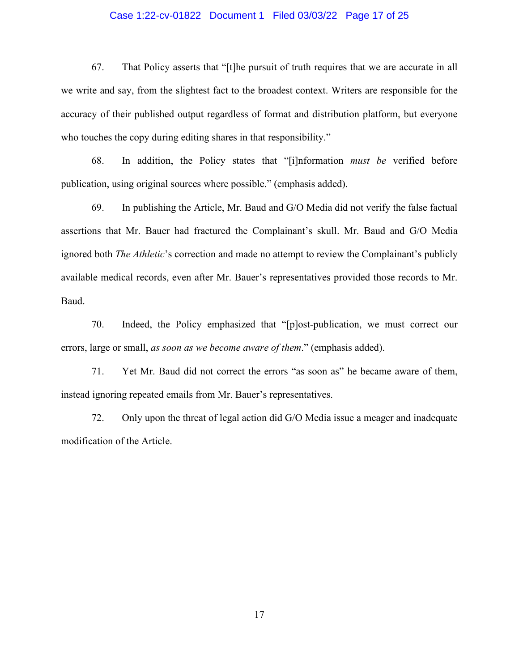### Case 1:22-cv-01822 Document 1 Filed 03/03/22 Page 17 of 25

67. That Policy asserts that "[t]he pursuit of truth requires that we are accurate in all we write and say, from the slightest fact to the broadest context. Writers are responsible for the accuracy of their published output regardless of format and distribution platform, but everyone who touches the copy during editing shares in that responsibility."

68. In addition, the Policy states that "[i]nformation *must be* verified before publication, using original sources where possible." (emphasis added).

69. In publishing the Article, Mr. Baud and G/O Media did not verify the false factual assertions that Mr. Bauer had fractured the Complainant's skull. Mr. Baud and G/O Media ignored both *The Athletic*'s correction and made no attempt to review the Complainant's publicly available medical records, even after Mr. Bauer's representatives provided those records to Mr. Baud.

70. Indeed, the Policy emphasized that "[p]ost-publication, we must correct our errors, large or small, *as soon as we become aware of them*." (emphasis added).

71. Yet Mr. Baud did not correct the errors "as soon as" he became aware of them, instead ignoring repeated emails from Mr. Bauer's representatives.

72. Only upon the threat of legal action did G/O Media issue a meager and inadequate modification of the Article.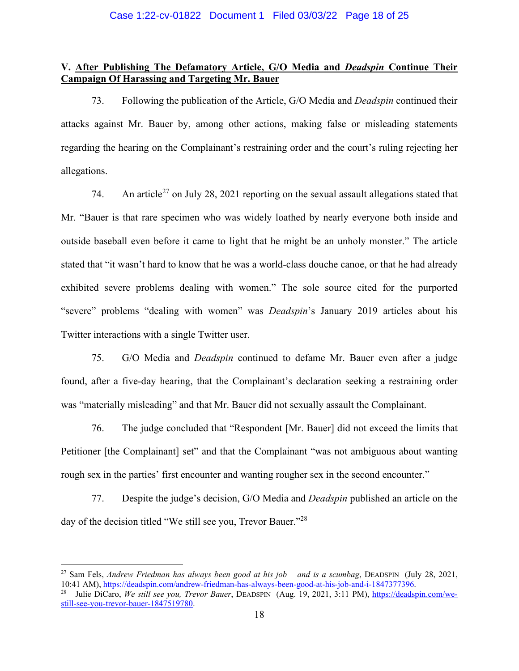## **V. After Publishing The Defamatory Article, G/O Media and** *Deadspin* **Continue Their Campaign Of Harassing and Targeting Mr. Bauer**

73. Following the publication of the Article, G/O Media and *Deadspin* continued their attacks against Mr. Bauer by, among other actions, making false or misleading statements regarding the hearing on the Complainant's restraining order and the court's ruling rejecting her allegations.

74. An article<sup>27</sup> on July 28, 2021 reporting on the sexual assault allegations stated that Mr. "Bauer is that rare specimen who was widely loathed by nearly everyone both inside and outside baseball even before it came to light that he might be an unholy monster." The article stated that "it wasn't hard to know that he was a world-class douche canoe, or that he had already exhibited severe problems dealing with women." The sole source cited for the purported "severe" problems "dealing with women" was *Deadspin*'s January 2019 articles about his Twitter interactions with a single Twitter user.

75. G/O Media and *Deadspin* continued to defame Mr. Bauer even after a judge found, after a five-day hearing, that the Complainant's declaration seeking a restraining order was "materially misleading" and that Mr. Bauer did not sexually assault the Complainant.

76. The judge concluded that "Respondent [Mr. Bauer] did not exceed the limits that Petitioner [the Complainant] set" and that the Complainant "was not ambiguous about wanting rough sex in the parties' first encounter and wanting rougher sex in the second encounter."

77. Despite the judge's decision, G/O Media and *Deadspin* published an article on the day of the decision titled "We still see you, Trevor Bauer."<sup>28</sup>

<sup>27</sup> Sam Fels, *Andrew Friedman has always been good at his job – and is a scumbag*, DEADSPIN (July 28, 2021, 10:41 AM)[, https://deadspin.com/andrew-friedman-has-always-been-good-at-his-job-and-i-1847377396.](https://deadspin.com/andrew-friedman-has-always-been-good-at-his-job-and-i-1847377396)

<sup>28</sup> Julie DiCaro, *We still see you, Trevor Bauer*, DEADSPIN (Aug. 19, 2021, 3:11 PM), [https://deadspin.com/we](https://deadspin.com/we-still-see-you-trevor-bauer-1847519780)[still-see-you-trevor-bauer-1847519780.](https://deadspin.com/we-still-see-you-trevor-bauer-1847519780)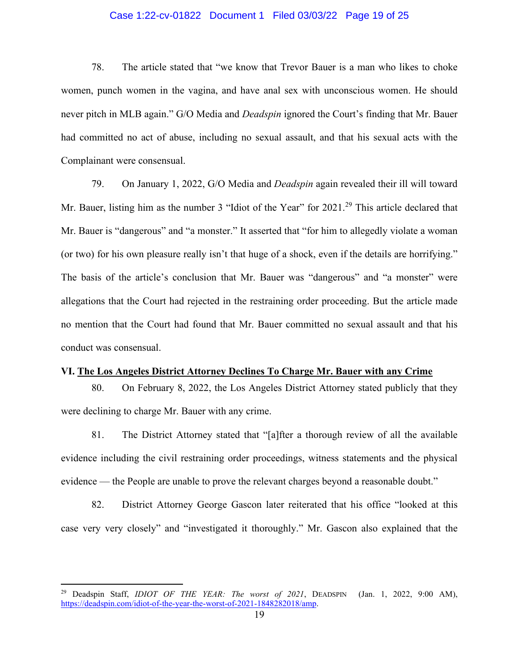### Case 1:22-cv-01822 Document 1 Filed 03/03/22 Page 19 of 25

78. The article stated that "we know that Trevor Bauer is a man who likes to choke women, punch women in the vagina, and have anal sex with unconscious women. He should never pitch in MLB again." G/O Media and *Deadspin* ignored the Court's finding that Mr. Bauer had committed no act of abuse, including no sexual assault, and that his sexual acts with the Complainant were consensual.

79. On January 1, 2022, G/O Media and *Deadspin* again revealed their ill will toward Mr. Bauer, listing him as the number 3 "Idiot of the Year" for 2021.<sup>29</sup> This article declared that Mr. Bauer is "dangerous" and "a monster." It asserted that "for him to allegedly violate a woman (or two) for his own pleasure really isn't that huge of a shock, even if the details are horrifying." The basis of the article's conclusion that Mr. Bauer was "dangerous" and "a monster" were allegations that the Court had rejected in the restraining order proceeding. But the article made no mention that the Court had found that Mr. Bauer committed no sexual assault and that his conduct was consensual.

#### **VI. The Los Angeles District Attorney Declines To Charge Mr. Bauer with any Crime**

80. On February 8, 2022, the Los Angeles District Attorney stated publicly that they were declining to charge Mr. Bauer with any crime.

81. The District Attorney stated that "[a]fter a thorough review of all the available evidence including the civil restraining order proceedings, witness statements and the physical evidence — the People are unable to prove the relevant charges beyond a reasonable doubt."

82. District Attorney George Gascon later reiterated that his office "looked at this case very very closely" and "investigated it thoroughly." Mr. Gascon also explained that the

<sup>29</sup> Deadspin Staff, *IDIOT OF THE YEAR: The worst of 2021*, DEADSPIN (Jan. 1, 2022, 9:00 AM), [https://deadspin.com/idiot-of-the-year-the-worst-of-2021-1848282018/amp.](https://deadspin.com/idiot-of-the-year-the-worst-of-2021-1848282018/amp)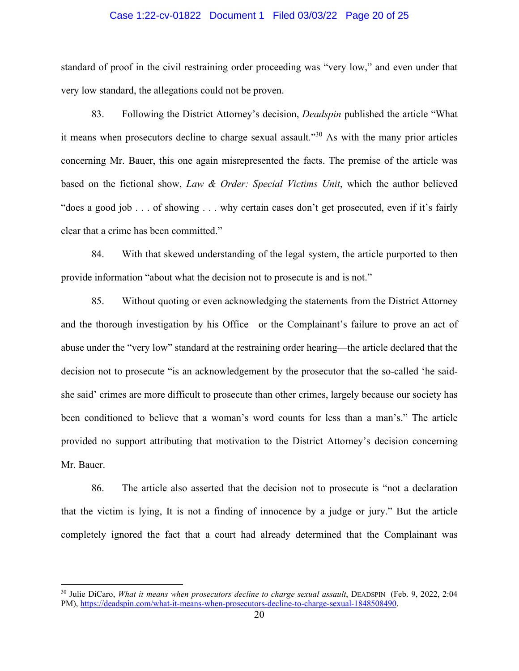#### Case 1:22-cv-01822 Document 1 Filed 03/03/22 Page 20 of 25

standard of proof in the civil restraining order proceeding was "very low," and even under that very low standard, the allegations could not be proven.

83. Following the District Attorney's decision, *Deadspin* published the article "What it means when prosecutors decline to charge sexual assault*.*" <sup>30</sup> As with the many prior articles concerning Mr. Bauer, this one again misrepresented the facts. The premise of the article was based on the fictional show, *Law & Order: Special Victims Unit*, which the author believed "does a good job . . . of showing . . . why certain cases don't get prosecuted, even if it's fairly clear that a crime has been committed."

84. With that skewed understanding of the legal system, the article purported to then provide information "about what the decision not to prosecute is and is not."

85. Without quoting or even acknowledging the statements from the District Attorney and the thorough investigation by his Office—or the Complainant's failure to prove an act of abuse under the "very low" standard at the restraining order hearing—the article declared that the decision not to prosecute "is an acknowledgement by the prosecutor that the so-called 'he saidshe said' crimes are more difficult to prosecute than other crimes, largely because our society has been conditioned to believe that a woman's word counts for less than a man's." The article provided no support attributing that motivation to the District Attorney's decision concerning Mr. Bauer.

86. The article also asserted that the decision not to prosecute is "not a declaration that the victim is lying, It is not a finding of innocence by a judge or jury." But the article completely ignored the fact that a court had already determined that the Complainant was

<sup>&</sup>lt;sup>30</sup> Julie DiCaro, *What it means when prosecutors decline to charge sexual assault*, DEADSPIN (Feb. 9, 2022, 2:04 PM), [https://deadspin.com/what-it-means-when-prosecutors-decline-to-charge-sexual-1848508490.](https://deadspin.com/what-it-means-when-prosecutors-decline-to-charge-sexual-1848508490)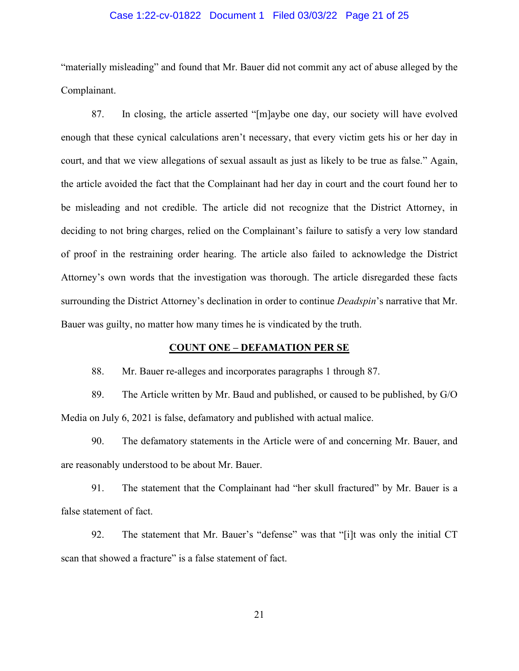### Case 1:22-cv-01822 Document 1 Filed 03/03/22 Page 21 of 25

"materially misleading" and found that Mr. Bauer did not commit any act of abuse alleged by the Complainant.

87. In closing, the article asserted "[m]aybe one day, our society will have evolved enough that these cynical calculations aren't necessary, that every victim gets his or her day in court, and that we view allegations of sexual assault as just as likely to be true as false." Again, the article avoided the fact that the Complainant had her day in court and the court found her to be misleading and not credible. The article did not recognize that the District Attorney, in deciding to not bring charges, relied on the Complainant's failure to satisfy a very low standard of proof in the restraining order hearing. The article also failed to acknowledge the District Attorney's own words that the investigation was thorough. The article disregarded these facts surrounding the District Attorney's declination in order to continue *Deadspin*'s narrative that Mr. Bauer was guilty, no matter how many times he is vindicated by the truth.

#### **COUNT ONE – DEFAMATION PER SE**

88. Mr. Bauer re-alleges and incorporates paragraphs 1 through 87.

89. The Article written by Mr. Baud and published, or caused to be published, by G/O Media on July 6, 2021 is false, defamatory and published with actual malice.

90. The defamatory statements in the Article were of and concerning Mr. Bauer, and are reasonably understood to be about Mr. Bauer.

91. The statement that the Complainant had "her skull fractured" by Mr. Bauer is a false statement of fact.

92. The statement that Mr. Bauer's "defense" was that "[i]t was only the initial CT scan that showed a fracture" is a false statement of fact.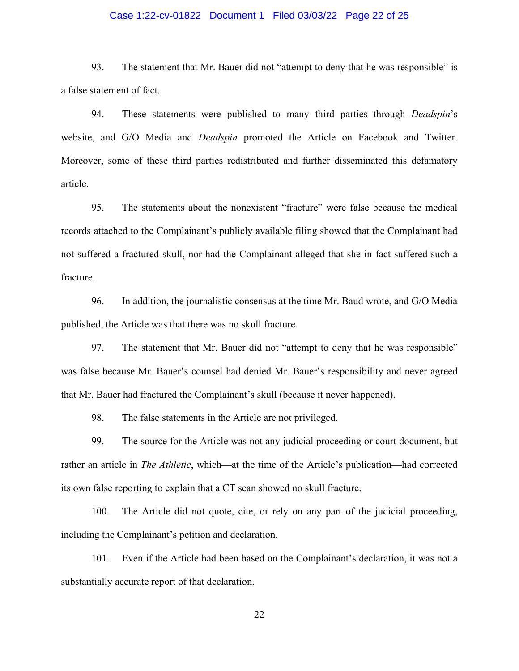### Case 1:22-cv-01822 Document 1 Filed 03/03/22 Page 22 of 25

93. The statement that Mr. Bauer did not "attempt to deny that he was responsible" is a false statement of fact.

94. These statements were published to many third parties through *Deadspin*'s website, and G/O Media and *Deadspin* promoted the Article on Facebook and Twitter. Moreover, some of these third parties redistributed and further disseminated this defamatory article.

95. The statements about the nonexistent "fracture" were false because the medical records attached to the Complainant's publicly available filing showed that the Complainant had not suffered a fractured skull, nor had the Complainant alleged that she in fact suffered such a fracture.

96. In addition, the journalistic consensus at the time Mr. Baud wrote, and G/O Media published, the Article was that there was no skull fracture.

97. The statement that Mr. Bauer did not "attempt to deny that he was responsible" was false because Mr. Bauer's counsel had denied Mr. Bauer's responsibility and never agreed that Mr. Bauer had fractured the Complainant's skull (because it never happened).

98. The false statements in the Article are not privileged.

99. The source for the Article was not any judicial proceeding or court document, but rather an article in *The Athletic*, which—at the time of the Article's publication—had corrected its own false reporting to explain that a CT scan showed no skull fracture.

100. The Article did not quote, cite, or rely on any part of the judicial proceeding, including the Complainant's petition and declaration.

101. Even if the Article had been based on the Complainant's declaration, it was not a substantially accurate report of that declaration.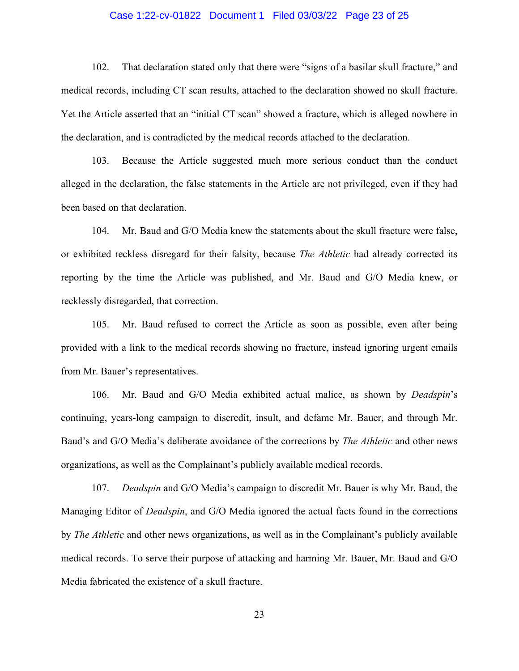### Case 1:22-cv-01822 Document 1 Filed 03/03/22 Page 23 of 25

102. That declaration stated only that there were "signs of a basilar skull fracture," and medical records, including CT scan results, attached to the declaration showed no skull fracture. Yet the Article asserted that an "initial CT scan" showed a fracture, which is alleged nowhere in the declaration, and is contradicted by the medical records attached to the declaration.

103. Because the Article suggested much more serious conduct than the conduct alleged in the declaration, the false statements in the Article are not privileged, even if they had been based on that declaration.

104. Mr. Baud and G/O Media knew the statements about the skull fracture were false, or exhibited reckless disregard for their falsity, because *The Athletic* had already corrected its reporting by the time the Article was published, and Mr. Baud and G/O Media knew, or recklessly disregarded, that correction.

105. Mr. Baud refused to correct the Article as soon as possible, even after being provided with a link to the medical records showing no fracture, instead ignoring urgent emails from Mr. Bauer's representatives.

106. Mr. Baud and G/O Media exhibited actual malice, as shown by *Deadspin*'s continuing, years-long campaign to discredit, insult, and defame Mr. Bauer, and through Mr. Baud's and G/O Media's deliberate avoidance of the corrections by *The Athletic* and other news organizations, as well as the Complainant's publicly available medical records.

107. *Deadspin* and G/O Media's campaign to discredit Mr. Bauer is why Mr. Baud, the Managing Editor of *Deadspin*, and G/O Media ignored the actual facts found in the corrections by *The Athletic* and other news organizations, as well as in the Complainant's publicly available medical records. To serve their purpose of attacking and harming Mr. Bauer, Mr. Baud and G/O Media fabricated the existence of a skull fracture.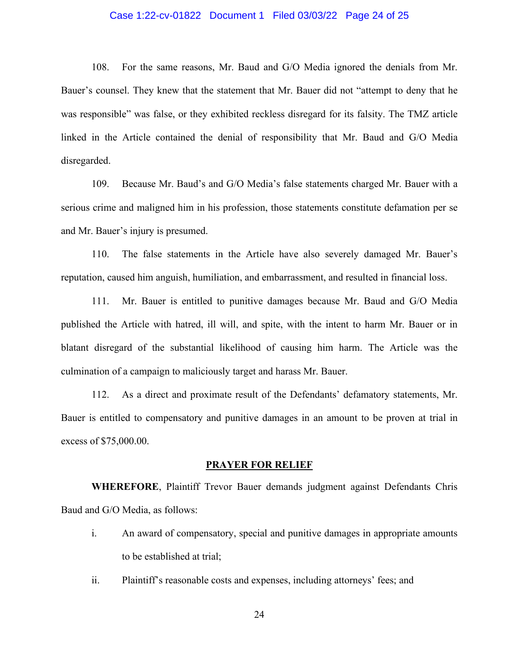### Case 1:22-cv-01822 Document 1 Filed 03/03/22 Page 24 of 25

108. For the same reasons, Mr. Baud and G/O Media ignored the denials from Mr. Bauer's counsel. They knew that the statement that Mr. Bauer did not "attempt to deny that he was responsible" was false, or they exhibited reckless disregard for its falsity. The TMZ article linked in the Article contained the denial of responsibility that Mr. Baud and G/O Media disregarded.

109. Because Mr. Baud's and G/O Media's false statements charged Mr. Bauer with a serious crime and maligned him in his profession, those statements constitute defamation per se and Mr. Bauer's injury is presumed.

110. The false statements in the Article have also severely damaged Mr. Bauer's reputation, caused him anguish, humiliation, and embarrassment, and resulted in financial loss.

111. Mr. Bauer is entitled to punitive damages because Mr. Baud and G/O Media published the Article with hatred, ill will, and spite, with the intent to harm Mr. Bauer or in blatant disregard of the substantial likelihood of causing him harm. The Article was the culmination of a campaign to maliciously target and harass Mr. Bauer.

112. As a direct and proximate result of the Defendants' defamatory statements, Mr. Bauer is entitled to compensatory and punitive damages in an amount to be proven at trial in excess of \$75,000.00.

## **PRAYER FOR RELIEF**

**WHEREFORE**, Plaintiff Trevor Bauer demands judgment against Defendants Chris Baud and G/O Media, as follows:

- i. An award of compensatory, special and punitive damages in appropriate amounts to be established at trial;
- ii. Plaintiff's reasonable costs and expenses, including attorneys' fees; and